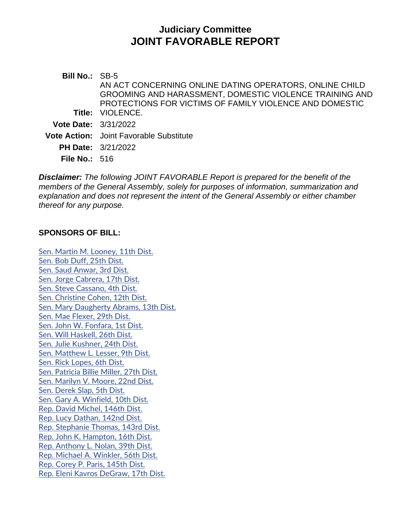# **Judiciary Committee JOINT FAVORABLE REPORT**

**Bill No.:** SB-5 **Title:** VIOLENCE. AN ACT CONCERNING ONLINE DATING OPERATORS, ONLINE CHILD GROOMING AND HARASSMENT, DOMESTIC VIOLENCE TRAINING AND PROTECTIONS FOR VICTIMS OF FAMILY VIOLENCE AND DOMESTIC **Vote Date:** 3/31/2022 **Vote Action:** Joint Favorable Substitute **PH Date:** 3/21/2022 **File No.:** 516

*Disclaimer: The following JOINT FAVORABLE Report is prepared for the benefit of the members of the General Assembly, solely for purposes of information, summarization and explanation and does not represent the intent of the General Assembly or either chamber thereof for any purpose.*

#### **SPONSORS OF BILL:**

[Sen. Martin M. Looney, 11th Dist.](https://www.cga.ct.gov/asp/CGABillStatus/CGAMemberBills.asp?dist_code=%27S11%27) [Sen. Bob Duff, 25th Dist.](https://www.cga.ct.gov/asp/CGABillStatus/CGAMemberBills.asp?dist_code=%27S25%27) [Sen. Saud Anwar, 3rd Dist.](https://www.cga.ct.gov/asp/CGABillStatus/CGAMemberBills.asp?dist_code=%27S03%27) [Sen. Jorge Cabrera, 17th Dist.](https://www.cga.ct.gov/asp/CGABillStatus/CGAMemberBills.asp?dist_code=%27S17%27) [Sen. Steve Cassano, 4th Dist.](https://www.cga.ct.gov/asp/CGABillStatus/CGAMemberBills.asp?dist_code=%27S04%27) [Sen. Christine Cohen, 12th Dist.](https://www.cga.ct.gov/asp/CGABillStatus/CGAMemberBills.asp?dist_code=%27S12%27) [Sen. Mary Daugherty Abrams, 13th Dist.](https://www.cga.ct.gov/asp/CGABillStatus/CGAMemberBills.asp?dist_code=%27S13%27) [Sen. Mae Flexer, 29th Dist.](https://www.cga.ct.gov/asp/CGABillStatus/CGAMemberBills.asp?dist_code=%27S29%27) [Sen. John W. Fonfara, 1st Dist.](https://www.cga.ct.gov/asp/CGABillStatus/CGAMemberBills.asp?dist_code=%27S01%27) [Sen. Will Haskell, 26th Dist.](https://www.cga.ct.gov/asp/CGABillStatus/CGAMemberBills.asp?dist_code=%27S26%27) [Sen. Julie Kushner, 24th Dist.](https://www.cga.ct.gov/asp/CGABillStatus/CGAMemberBills.asp?dist_code=%27S24%27) [Sen. Matthew L. Lesser, 9th Dist.](https://www.cga.ct.gov/asp/CGABillStatus/CGAMemberBills.asp?dist_code=%27S09%27) [Sen. Rick Lopes, 6th Dist.](https://www.cga.ct.gov/asp/CGABillStatus/CGAMemberBills.asp?dist_code=%27S06%27) [Sen. Patricia Billie Miller, 27th Dist.](https://www.cga.ct.gov/asp/CGABillStatus/CGAMemberBills.asp?dist_code=%27S27%27) [Sen. Marilyn V. Moore, 22nd Dist.](https://www.cga.ct.gov/asp/CGABillStatus/CGAMemberBills.asp?dist_code=%27S22%27) [Sen. Derek Slap, 5th Dist.](https://www.cga.ct.gov/asp/CGABillStatus/CGAMemberBills.asp?dist_code=%27S05%27) [Sen. Gary A. Winfield, 10th Dist.](https://www.cga.ct.gov/asp/CGABillStatus/CGAMemberBills.asp?dist_code=%27S10%27) [Rep. David Michel, 146th Dist.](https://www.cga.ct.gov/asp/CGABillStatus/CGAMemberBills.asp?dist_code=%27146%27) [Rep. Lucy Dathan, 142nd Dist.](https://www.cga.ct.gov/asp/CGABillStatus/CGAMemberBills.asp?dist_code=%27142%27) [Rep. Stephanie Thomas, 143rd Dist.](https://www.cga.ct.gov/asp/CGABillStatus/CGAMemberBills.asp?dist_code=%27143%27) [Rep. John K. Hampton, 16th Dist.](https://www.cga.ct.gov/asp/CGABillStatus/CGAMemberBills.asp?dist_code=%27016%27) [Rep. Anthony L. Nolan, 39th Dist.](https://www.cga.ct.gov/asp/CGABillStatus/CGAMemberBills.asp?dist_code=%27039%27) [Rep. Michael A. Winkler, 56th Dist.](https://www.cga.ct.gov/asp/CGABillStatus/CGAMemberBills.asp?dist_code=%27056%27) [Rep. Corey P. Paris, 145th Dist.](https://www.cga.ct.gov/asp/CGABillStatus/CGAMemberBills.asp?dist_code=%27145%27) [Rep. Eleni Kavros DeGraw, 17th Dist.](https://www.cga.ct.gov/asp/CGABillStatus/CGAMemberBills.asp?dist_code=%27017%27)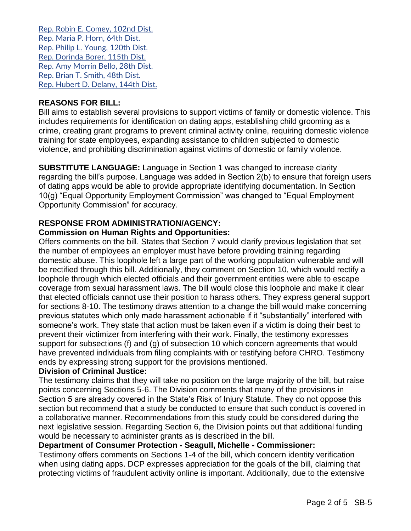[Rep. Robin E. Comey, 102nd Dist.](https://www.cga.ct.gov/asp/CGABillStatus/CGAMemberBills.asp?dist_code=%27102%27) [Rep. Maria P. Horn, 64th Dist.](https://www.cga.ct.gov/asp/CGABillStatus/CGAMemberBills.asp?dist_code=%27064%27) [Rep. Philip L. Young, 120th Dist.](https://www.cga.ct.gov/asp/CGABillStatus/CGAMemberBills.asp?dist_code=%27120%27) [Rep. Dorinda Borer, 115th Dist.](https://www.cga.ct.gov/asp/CGABillStatus/CGAMemberBills.asp?dist_code=%27115%27) [Rep. Amy Morrin Bello, 28th Dist.](https://www.cga.ct.gov/asp/CGABillStatus/CGAMemberBills.asp?dist_code=%27028%27) [Rep. Brian T. Smith, 48th Dist.](https://www.cga.ct.gov/asp/CGABillStatus/CGAMemberBills.asp?dist_code=%27048%27) [Rep. Hubert D. Delany, 144th Dist.](https://www.cga.ct.gov/asp/CGABillStatus/CGAMemberBills.asp?dist_code=%27144%27)

## **REASONS FOR BILL:**

Bill aims to establish several provisions to support victims of family or domestic violence. This includes requirements for identification on dating apps, establishing child grooming as a crime, creating grant programs to prevent criminal activity online, requiring domestic violence training for state employees, expanding assistance to children subjected to domestic violence, and prohibiting discrimination against victims of domestic or family violence.

**SUBSTITUTE LANGUAGE:** Language in Section 1 was changed to increase clarity regarding the bill's purpose. Language was added in Section 2(b) to ensure that foreign users of dating apps would be able to provide appropriate identifying documentation. In Section 10(g) "Equal Opportunity Employment Commission" was changed to "Equal Employment Opportunity Commission" for accuracy.

## **RESPONSE FROM ADMINISTRATION/AGENCY:**

## **Commission on Human Rights and Opportunities:**

Offers comments on the bill. States that Section 7 would clarify previous legislation that set the number of employees an employer must have before providing training regarding domestic abuse. This loophole left a large part of the working population vulnerable and will be rectified through this bill. Additionally, they comment on Section 10, which would rectify a loophole through which elected officials and their government entities were able to escape coverage from sexual harassment laws. The bill would close this loophole and make it clear that elected officials cannot use their position to harass others. They express general support for sections 8-10. The testimony draws attention to a change the bill would make concerning previous statutes which only made harassment actionable if it "substantially" interfered with someone's work. They state that action must be taken even if a victim is doing their best to prevent their victimizer from interfering with their work. Finally, the testimony expresses support for subsections (f) and (g) of subsection 10 which concern agreements that would have prevented individuals from filing complaints with or testifying before CHRO. Testimony ends by expressing strong support for the provisions mentioned.

## **Division of Criminal Justice:**

The testimony claims that they will take no position on the large majority of the bill, but raise points concerning Sections 5-6. The Division comments that many of the provisions in Section 5 are already covered in the State's Risk of Injury Statute. They do not oppose this section but recommend that a study be conducted to ensure that such conduct is covered in a collaborative manner. Recommendations from this study could be considered during the next legislative session. Regarding Section 6, the Division points out that additional funding would be necessary to administer grants as is described in the bill.

## **Department of Consumer Protection - Seagull, Michelle - Commissioner:**

Testimony offers comments on Sections 1-4 of the bill, which concern identity verification when using dating apps. DCP expresses appreciation for the goals of the bill, claiming that protecting victims of fraudulent activity online is important. Additionally, due to the extensive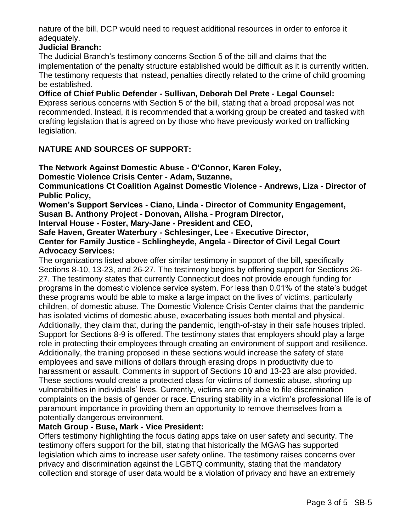nature of the bill, DCP would need to request additional resources in order to enforce it adequately.

# **Judicial Branch:**

The Judicial Branch's testimony concerns Section 5 of the bill and claims that the implementation of the penalty structure established would be difficult as it is currently written. The testimony requests that instead, penalties directly related to the crime of child grooming be established.

**Office of Chief Public Defender - Sullivan, Deborah Del Prete - Legal Counsel:** Express serious concerns with Section 5 of the bill, stating that a broad proposal was not recommended. Instead, it is recommended that a working group be created and tasked with crafting legislation that is agreed on by those who have previously worked on trafficking legislation.

# **NATURE AND SOURCES OF SUPPORT:**

**The Network Against Domestic Abuse - O'Connor, Karen Foley,**

**Domestic Violence Crisis Center - Adam, Suzanne,**

**Communications Ct Coalition Against Domestic Violence - Andrews, Liza - Director of Public Policy,**

**Women's Support Services - Ciano, Linda - Director of Community Engagement, Susan B. Anthony Project - Donovan, Alisha - Program Director,**

**Interval House - Foster, Mary-Jane - President and CEO,**

**Safe Haven, Greater Waterbury - Schlesinger, Lee - Executive Director, Center for Family Justice - Schlingheyde, Angela - Director of Civil Legal Court Advocacy Services:**

The organizations listed above offer similar testimony in support of the bill, specifically Sections 8-10, 13-23, and 26-27. The testimony begins by offering support for Sections 26- 27. The testimony states that currently Connecticut does not provide enough funding for programs in the domestic violence service system. For less than 0.01% of the state's budget these programs would be able to make a large impact on the lives of victims, particularly children, of domestic abuse. The Domestic Violence Crisis Center claims that the pandemic has isolated victims of domestic abuse, exacerbating issues both mental and physical. Additionally, they claim that, during the pandemic, length-of-stay in their safe houses tripled. Support for Sections 8-9 is offered. The testimony states that employers should play a large role in protecting their employees through creating an environment of support and resilience. Additionally, the training proposed in these sections would increase the safety of state employees and save millions of dollars through erasing drops in productivity due to harassment or assault. Comments in support of Sections 10 and 13-23 are also provided. These sections would create a protected class for victims of domestic abuse, shoring up vulnerabilities in individuals' lives. Currently, victims are only able to file discrimination complaints on the basis of gender or race. Ensuring stability in a victim's professional life is of paramount importance in providing them an opportunity to remove themselves from a potentially dangerous environment.

# **Match Group - Buse, Mark - Vice President:**

Offers testimony highlighting the focus dating apps take on user safety and security. The testimony offers support for the bill, stating that historically the MGAG has supported legislation which aims to increase user safety online. The testimony raises concerns over privacy and discrimination against the LGBTQ community, stating that the mandatory collection and storage of user data would be a violation of privacy and have an extremely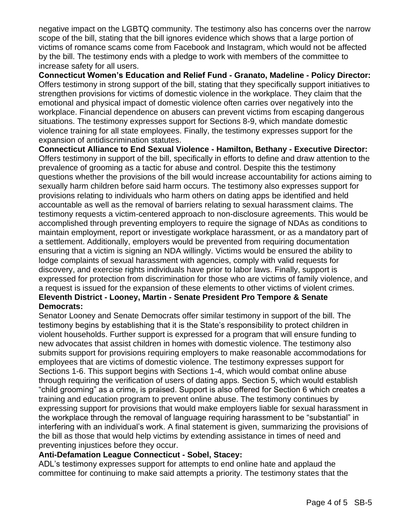negative impact on the LGBTQ community. The testimony also has concerns over the narrow scope of the bill, stating that the bill ignores evidence which shows that a large portion of victims of romance scams come from Facebook and Instagram, which would not be affected by the bill. The testimony ends with a pledge to work with members of the committee to increase safety for all users.

**Connecticut Women's Education and Relief Fund - Granato, Madeline - Policy Director:** Offers testimony in strong support of the bill, stating that they specifically support initiatives to strengthen provisions for victims of domestic violence in the workplace. They claim that the emotional and physical impact of domestic violence often carries over negatively into the workplace. Financial dependence on abusers can prevent victims from escaping dangerous situations. The testimony expresses support for Sections 8-9, which mandate domestic violence training for all state employees. Finally, the testimony expresses support for the expansion of antidiscrimination statutes.

**Connecticut Alliance to End Sexual Violence - Hamilton, Bethany - Executive Director:** Offers testimony in support of the bill, specifically in efforts to define and draw attention to the prevalence of grooming as a tactic for abuse and control. Despite this the testimony questions whether the provisions of the bill would increase accountability for actions aiming to sexually harm children before said harm occurs. The testimony also expresses support for provisions relating to individuals who harm others on dating apps be identified and held accountable as well as the removal of barriers relating to sexual harassment claims. The testimony requests a victim-centered approach to non-disclosure agreements. This would be accomplished through preventing employers to require the signage of NDAs as conditions to maintain employment, report or investigate workplace harassment, or as a mandatory part of a settlement. Additionally, employers would be prevented from requiring documentation ensuring that a victim is signing an NDA willingly. Victims would be ensured the ability to lodge complaints of sexual harassment with agencies, comply with valid requests for discovery, and exercise rights individuals have prior to labor laws. Finally, support is expressed for protection from discrimination for those who are victims of family violence, and a request is issued for the expansion of these elements to other victims of violent crimes.

## **Eleventh District - Looney, Martin - Senate President Pro Tempore & Senate Democrats:**

Senator Looney and Senate Democrats offer similar testimony in support of the bill. The testimony begins by establishing that it is the State's responsibility to protect children in violent households. Further support is expressed for a program that will ensure funding to new advocates that assist children in homes with domestic violence. The testimony also submits support for provisions requiring employers to make reasonable accommodations for employees that are victims of domestic violence. The testimony expresses support for Sections 1-6. This support begins with Sections 1-4, which would combat online abuse through requiring the verification of users of dating apps. Section 5, which would establish "child grooming" as a crime, is praised. Support is also offered for Section 6 which creates a training and education program to prevent online abuse. The testimony continues by expressing support for provisions that would make employers liable for sexual harassment in the workplace through the removal of language requiring harassment to be "substantial" in interfering with an individual's work. A final statement is given, summarizing the provisions of the bill as those that would help victims by extending assistance in times of need and preventing injustices before they occur.

## **Anti-Defamation League Connecticut - Sobel, Stacey:**

ADL's testimony expresses support for attempts to end online hate and applaud the committee for continuing to make said attempts a priority. The testimony states that the